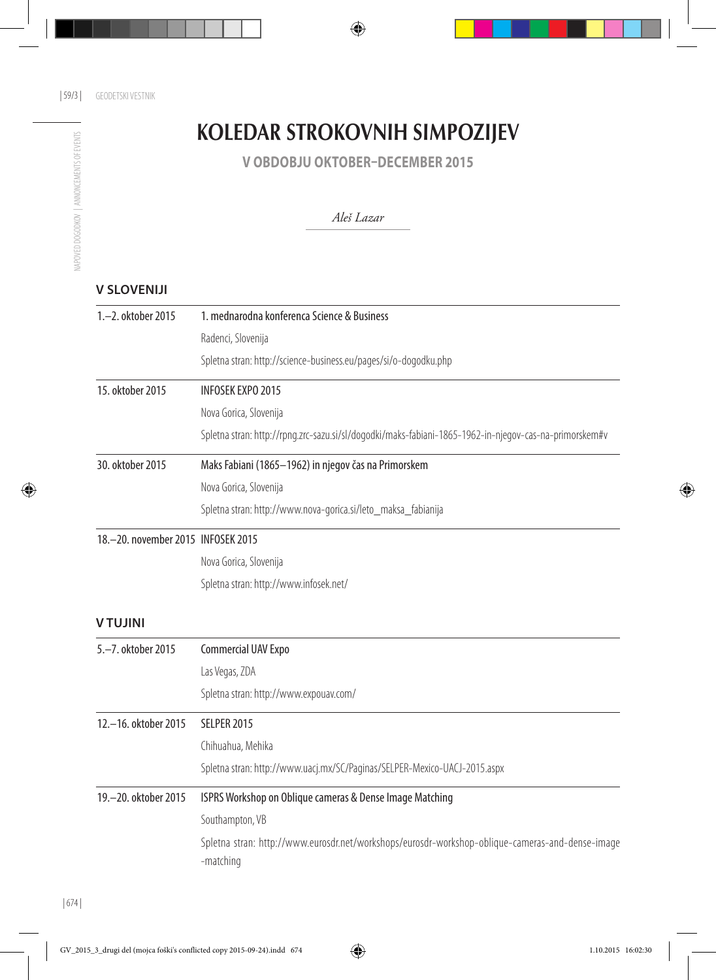## KOLEDAR STROKOVNIH SIMPOZIJEV

**V OBDOBJU OKTOBER–DECEMBER 2015**

## *Aleš Lazar*

## **V SLOVENIJI**

| 1.-2. oktober 2015                 | 1. mednarodna konferenca Science & Business                                                                   |  |  |
|------------------------------------|---------------------------------------------------------------------------------------------------------------|--|--|
|                                    | Radenci, Slovenija                                                                                            |  |  |
|                                    | Spletna stran: http://science-business.eu/pages/si/o-dogodku.php                                              |  |  |
| 15. oktober 2015                   | <b>INFOSEK EXPO 2015</b>                                                                                      |  |  |
|                                    | Nova Gorica, Slovenija                                                                                        |  |  |
|                                    | Spletna stran: http://rpng.zrc-sazu.si/sl/dogodki/maks-fabiani-1865-1962-in-njegov-cas-na-primorskem#v        |  |  |
| 30. oktober 2015                   | Maks Fabiani (1865-1962) in njegov čas na Primorskem                                                          |  |  |
|                                    | Nova Gorica, Slovenija                                                                                        |  |  |
|                                    | Spletna stran: http://www.nova-gorica.si/leto_maksa_fabianija                                                 |  |  |
| 18.-20. november 2015 INFOSEK 2015 |                                                                                                               |  |  |
|                                    | Nova Gorica, Slovenija                                                                                        |  |  |
|                                    | Spletna stran: http://www.infosek.net/                                                                        |  |  |
| <b>VTUJINI</b>                     |                                                                                                               |  |  |
| 5.-7. oktober 2015                 | Commercial UAV Expo                                                                                           |  |  |
|                                    | Las Vegas, ZDA                                                                                                |  |  |
|                                    | Spletna stran: http://www.expouav.com/                                                                        |  |  |
| 12.-16. oktober 2015               | <b>SELPER 2015</b>                                                                                            |  |  |
|                                    | Chihuahua, Mehika                                                                                             |  |  |
|                                    | Spletna stran: http://www.uacj.mx/SC/Paginas/SELPER-Mexico-UACJ-2015.aspx                                     |  |  |
| 19.-20. oktober 2015               | ISPRS Workshop on Oblique cameras & Dense Image Matching                                                      |  |  |
|                                    | Southampton, VB                                                                                               |  |  |
|                                    | Spletna stran: http://www.eurosdr.net/workshops/eurosdr-workshop-oblique-cameras-and-dense-image<br>-matching |  |  |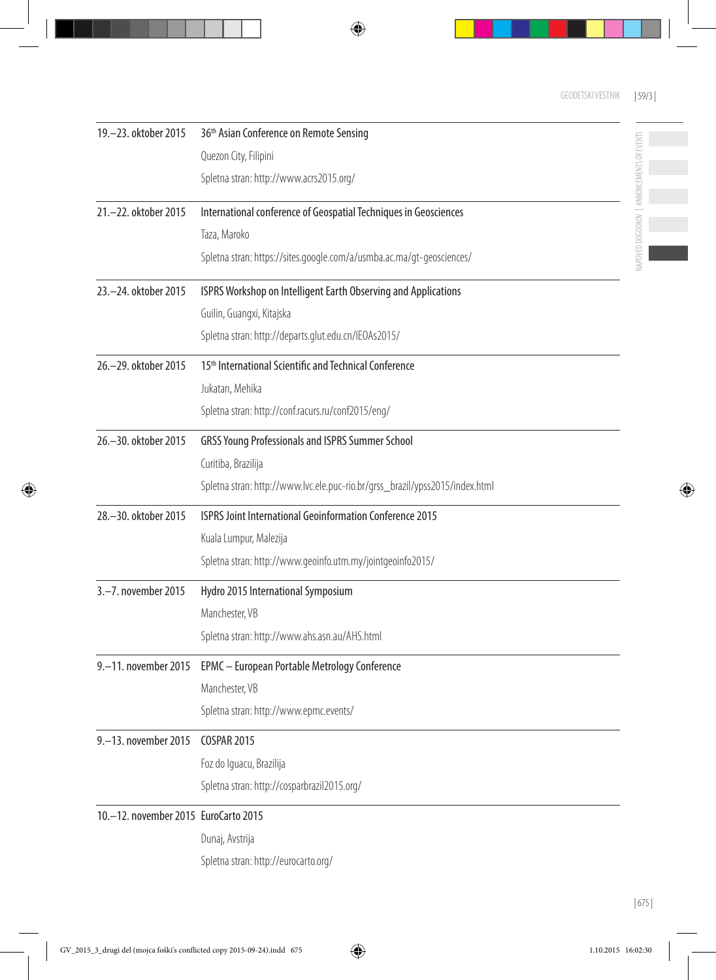NAPOVED DOGODKOV | ANNONCEMENTS OF EVENTS

 $\overline{\phantom{a}}$ 

 $\mathbb{R}^2$ 

NAPOVED DOGODKOV | ANNONCEMENTS OF EVENTS

| 19 .- 23. oktober 2015               | 36 <sup>th</sup> Asian Conference on Remote Sensing                          |
|--------------------------------------|------------------------------------------------------------------------------|
|                                      | Quezon City, Filipini                                                        |
|                                      | Spletna stran: http://www.acrs2015.org/                                      |
| 21 .- 22. oktober 2015               | International conference of Geospatial Techniques in Geosciences             |
|                                      | Taza, Maroko                                                                 |
|                                      | Spletna stran: https://sites.google.com/a/usmba.ac.ma/gt-geosciences/        |
| 23.-24. oktober 2015                 | ISPRS Workshop on Intelligent Earth Observing and Applications               |
|                                      | Guilin, Guangxi, Kitajska                                                    |
|                                      | Spletna stran: http://departs.glut.edu.cn/IEOAs2015/                         |
| 26.-29. oktober 2015                 | 15 <sup>th</sup> International Scientific and Technical Conference           |
|                                      | Jukatan, Mehika                                                              |
|                                      | Spletna stran: http://conf.racurs.ru/conf2015/eng/                           |
| 26.-30. oktober 2015                 | <b>GRSS Young Professionals and ISPRS Summer School</b>                      |
|                                      | Curitiba, Brazilija                                                          |
|                                      | Spletna stran: http://www.lvc.ele.puc-rio.br/grss_brazil/ypss2015/index.html |
| 28.-30. oktober 2015                 | ISPRS Joint International Geoinformation Conference 2015                     |
|                                      | Kuala Lumpur, Malezija                                                       |
|                                      | Spletna stran: http://www.geoinfo.utm.my/jointgeoinfo2015/                   |
| 3.-7. november 2015                  | Hydro 2015 International Symposium                                           |
|                                      | Manchester, VB                                                               |
|                                      | Spletna stran: http://www.ahs.asn.au/AHS.html                                |
| 9.-11. november 2015                 | EPMC - European Portable Metrology Conference                                |
|                                      | Manchester, VB                                                               |
|                                      | Spletna stran: http://www.epmc.events/                                       |
| 9.-13. november 2015                 | <b>COSPAR 2015</b>                                                           |
|                                      | Foz do Iguacu, Brazilija                                                     |
|                                      | Spletna stran: http://cosparbrazil2015.org/                                  |
| 10.-12. november 2015 EuroCarto 2015 |                                                                              |
|                                      | Dunaj, Avstrija                                                              |
|                                      | Spletna stran: http://eurocarto.org/                                         |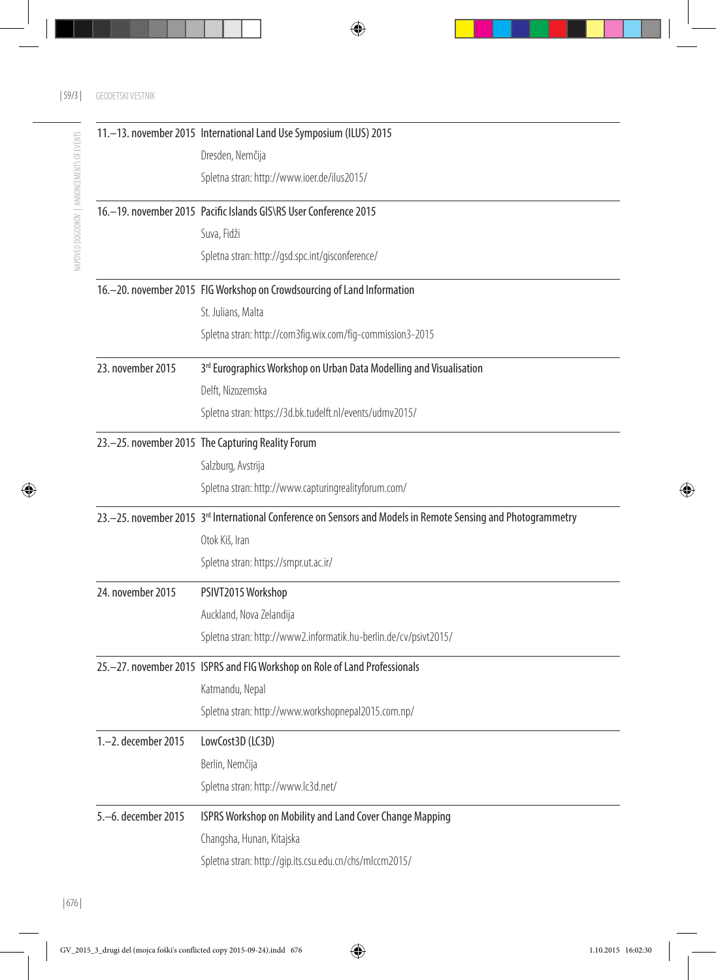|                     | 11. - 13. november 2015 International Land Use Symposium (ILUS) 2015                                                        |
|---------------------|-----------------------------------------------------------------------------------------------------------------------------|
|                     | Dresden, Nemčija                                                                                                            |
|                     | Spletna stran: http://www.ioer.de/ilus2015/                                                                                 |
|                     | 16. - 19. november 2015 Pacific Islands GIS\RS User Conference 2015                                                         |
|                     | Suva, Fidži                                                                                                                 |
|                     | Spletna stran: http://gsd.spc.int/gisconference/                                                                            |
|                     | 16. - 20. november 2015 FIG Workshop on Crowdsourcing of Land Information                                                   |
|                     | St. Julians, Malta                                                                                                          |
|                     | Spletna stran: http://com3fig.wix.com/fig-commission3-2015                                                                  |
| 23. november 2015   | 3rd Eurographics Workshop on Urban Data Modelling and Visualisation                                                         |
|                     | Delft, Nizozemska                                                                                                           |
|                     | Spletna stran: https://3d.bk.tudelft.nl/events/udmv2015/                                                                    |
|                     | 23.-25. november 2015 The Capturing Reality Forum                                                                           |
|                     | Salzburg, Avstrija                                                                                                          |
|                     | Spletna stran: http://www.capturingrealityforum.com/                                                                        |
|                     | 23. - 25. november 2015 3 <sup>rd</sup> International Conference on Sensors and Models in Remote Sensing and Photogrammetry |
|                     | Otok Kiš, Iran                                                                                                              |
|                     | Spletna stran: https://smpr.ut.ac.ir/                                                                                       |
| 24. november 2015   | PSIVT2015 Workshop                                                                                                          |
|                     | Auckland, Nova Zelandija                                                                                                    |
|                     | Spletna stran: http://www2.informatik.hu-berlin.de/cv/psivt2015/                                                            |
|                     | 25.-27. november 2015 ISPRS and FIG Workshop on Role of Land Professionals                                                  |
|                     | Katmandu, Nepal                                                                                                             |
|                     | Spletna stran: http://www.workshopnepal2015.com.np/                                                                         |
| 1.-2. december 2015 | LowCost3D (LC3D)                                                                                                            |
|                     | Berlin, Nemčija                                                                                                             |
|                     | Spletna stran: http://www.lc3d.net/                                                                                         |
| 5.-6. december 2015 | ISPRS Workshop on Mobility and Land Cover Change Mapping                                                                    |
|                     | Changsha, Hunan, Kitajska                                                                                                   |
|                     | Spletna stran: http://gip.its.csu.edu.cn/chs/mlccm2015/                                                                     |